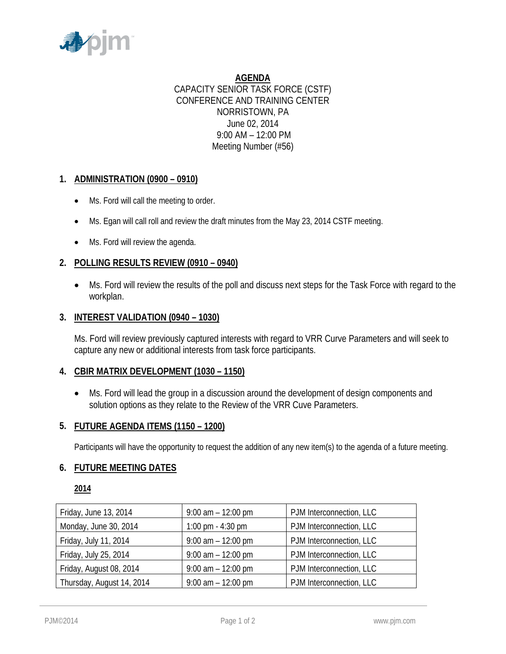

**AGENDA** CAPACITY SENIOR TASK FORCE (CSTF) CONFERENCE AND TRAINING CENTER NORRISTOWN, PA June 02, 2014 9:00 AM – 12:00 PM Meeting Number (#56)

# **1. ADMINISTRATION (0900 – 0910)**

- Ms. Ford will call the meeting to order.
- Ms. Egan will call roll and review the draft minutes from the May 23, 2014 CSTF meeting.
- Ms. Ford will review the agenda.

### **2. POLLING RESULTS REVIEW (0910 – 0940)**

• Ms. Ford will review the results of the poll and discuss next steps for the Task Force with regard to the workplan.

### **3. INTEREST VALIDATION (0940 – 1030)**

Ms. Ford will review previously captured interests with regard to VRR Curve Parameters and will seek to capture any new or additional interests from task force participants.

### **4. CBIR MATRIX DEVELOPMENT (1030 – 1150)**

• Ms. Ford will lead the group in a discussion around the development of design components and solution options as they relate to the Review of the VRR Cuve Parameters.

### **5. FUTURE AGENDA ITEMS (1150 – 1200)**

Participants will have the opportunity to request the addition of any new item(s) to the agenda of a future meeting.

### **6. FUTURE MEETING DATES**

## **2014**

| Friday, June 13, 2014     | $9:00$ am $-12:00$ pm | PJM Interconnection, LLC |
|---------------------------|-----------------------|--------------------------|
| Monday, June 30, 2014     | 1:00 pm $-$ 4:30 pm   | PJM Interconnection, LLC |
| Friday, July 11, 2014     | $9:00$ am $-12:00$ pm | PJM Interconnection, LLC |
| Friday, July 25, 2014     | $9:00$ am $-12:00$ pm | PJM Interconnection, LLC |
| Friday, August 08, 2014   | $9:00$ am $-12:00$ pm | PJM Interconnection, LLC |
| Thursday, August 14, 2014 | $9:00$ am $-12:00$ pm | PJM Interconnection, LLC |